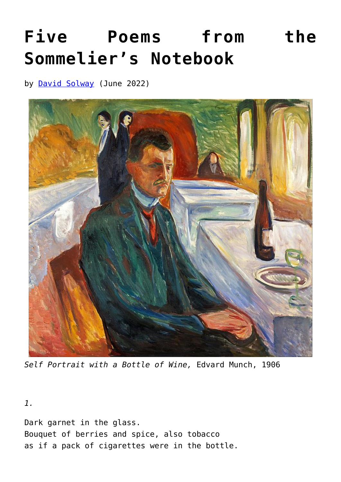## **[Five Poems from the](https://www.newenglishreview.org/articles/five-poems-from-the-sommeliers-notebook/) [Sommelier's Notebook](https://www.newenglishreview.org/articles/five-poems-from-the-sommeliers-notebook/)**

by **[David Solway](https://www.newenglishreview.org/authors/david-solway/)** (June 2022)



*Self Portrait with a Bottle of Wine,* Edvard Munch, 1906

*1.*

Dark garnet in the glass. Bouquet of berries and spice, also tobacco as if a pack of cigarettes were in the bottle.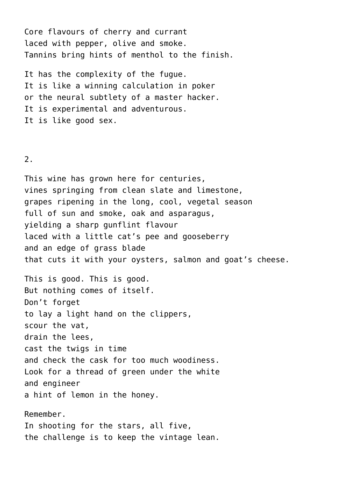Core flavours of cherry and currant laced with pepper, olive and smoke. Tannins bring hints of menthol to the finish.

It has the complexity of the fugue. It is like a winning calculation in poker or the neural subtlety of a master hacker. It is experimental and adventurous. It is like good sex.

## 2.

This wine has grown here for centuries, vines springing from clean slate and limestone, grapes ripening in the long, cool, vegetal season full of sun and smoke, oak and asparagus, yielding a sharp gunflint flavour laced with a little cat's pee and gooseberry and an edge of grass blade that cuts it with your oysters, salmon and goat's cheese.

This is good. This is good. But nothing comes of itself. Don't forget to lay a light hand on the clippers, scour the vat, drain the lees, cast the twigs in time and check the cask for too much woodiness. Look for a thread of green under the white and engineer a hint of lemon in the honey.

Remember. In shooting for the stars, all five, the challenge is to keep the vintage lean.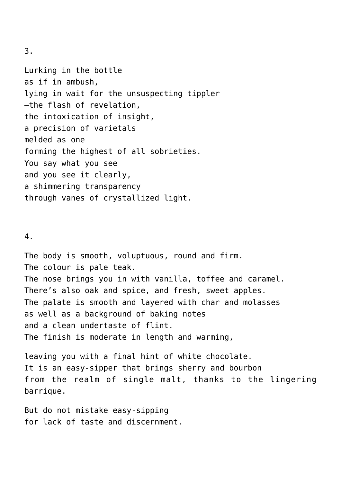3.

Lurking in the bottle as if in ambush, lying in wait for the unsuspecting tippler —the flash of revelation, the intoxication of insight, a precision of varietals melded as one forming the highest of all sobrieties. You say what you see and you see it clearly, a shimmering transparency through vanes of crystallized light.

## 4.

The body is smooth, voluptuous, round and firm. The colour is pale teak. The nose brings you in with vanilla, toffee and caramel. There's also oak and spice, and fresh, sweet apples. The palate is smooth and layered with char and molasses as well as a background of baking notes and a clean undertaste of flint. The finish is moderate in length and warming,

leaving you with a final hint of white chocolate. It is an easy-sipper that brings sherry and bourbon from the realm of single malt, thanks to the lingering barrique.

But do not mistake easy-sipping for lack of taste and discernment.